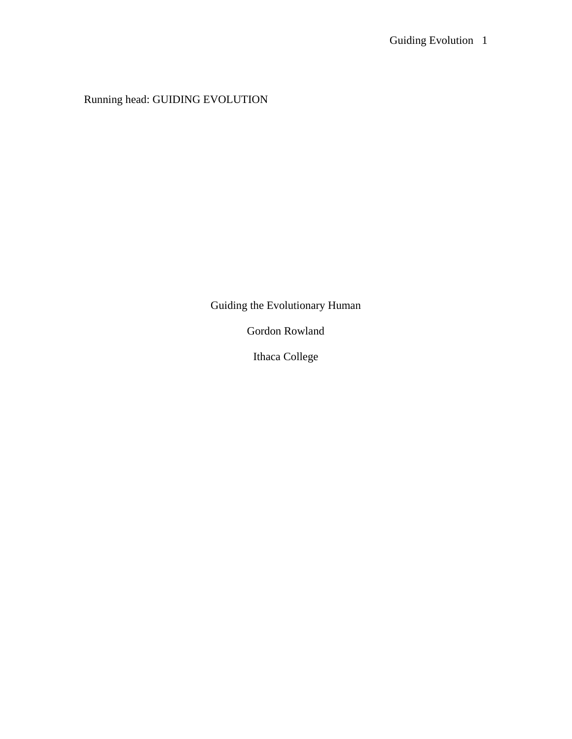Running head: GUIDING EVOLUTION

Guiding the Evolutionary Human

Gordon Rowland

Ithaca College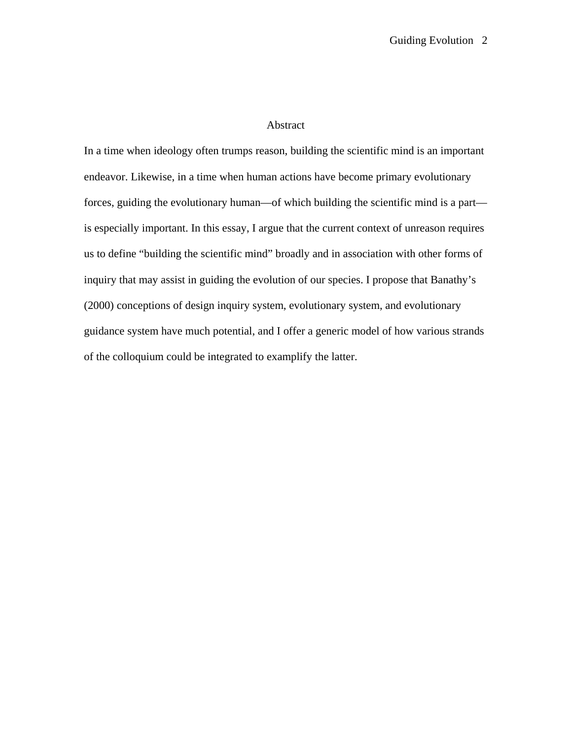## Abstract

In a time when ideology often trumps reason, building the scientific mind is an important endeavor. Likewise, in a time when human actions have become primary evolutionary forces, guiding the evolutionary human—of which building the scientific mind is a part is especially important. In this essay, I argue that the current context of unreason requires us to define "building the scientific mind" broadly and in association with other forms of inquiry that may assist in guiding the evolution of our species. I propose that Banathy's (2000) conceptions of design inquiry system, evolutionary system, and evolutionary guidance system have much potential, and I offer a generic model of how various strands of the colloquium could be integrated to examplify the latter.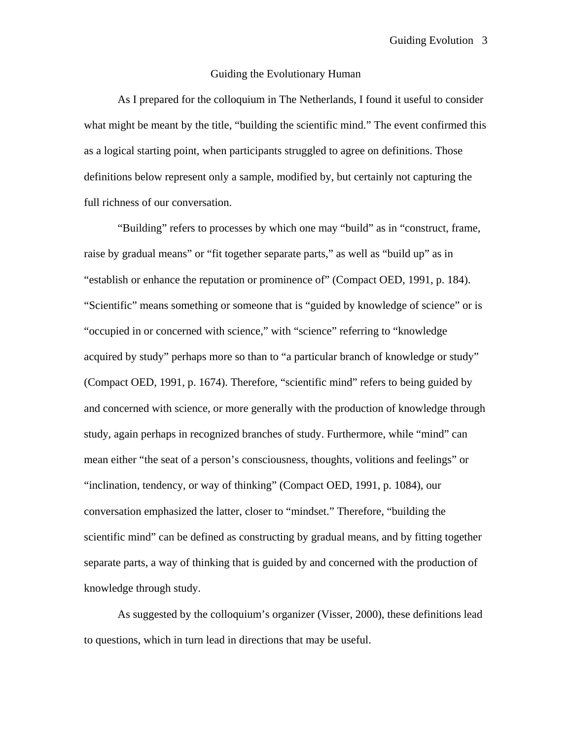## Guiding the Evolutionary Human

 As I prepared for the colloquium in The Netherlands, I found it useful to consider what might be meant by the title, "building the scientific mind." The event confirmed this as a logical starting point, when participants struggled to agree on definitions. Those definitions below represent only a sample, modified by, but certainly not capturing the full richness of our conversation.

 "Building" refers to processes by which one may "build" as in "construct, frame, raise by gradual means" or "fit together separate parts," as well as "build up" as in "establish or enhance the reputation or prominence of" (Compact OED, 1991, p. 184). "Scientific" means something or someone that is "guided by knowledge of science" or is "occupied in or concerned with science," with "science" referring to "knowledge acquired by study" perhaps more so than to "a particular branch of knowledge or study" (Compact OED, 1991, p. 1674). Therefore, "scientific mind" refers to being guided by and concerned with science, or more generally with the production of knowledge through study, again perhaps in recognized branches of study. Furthermore, while "mind" can mean either "the seat of a person's consciousness, thoughts, volitions and feelings" or "inclination, tendency, or way of thinking" (Compact OED, 1991, p. 1084), our conversation emphasized the latter, closer to "mindset." Therefore, "building the scientific mind" can be defined as constructing by gradual means, and by fitting together separate parts, a way of thinking that is guided by and concerned with the production of knowledge through study.

 As suggested by the colloquium's organizer (Visser, 2000), these definitions lead to questions, which in turn lead in directions that may be useful.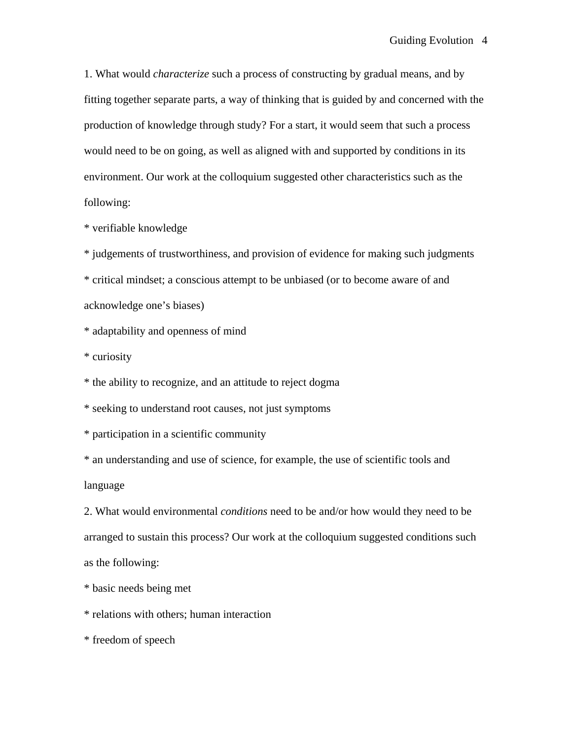1. What would *characterize* such a process of constructing by gradual means, and by fitting together separate parts, a way of thinking that is guided by and concerned with the production of knowledge through study? For a start, it would seem that such a process would need to be on going, as well as aligned with and supported by conditions in its environment. Our work at the colloquium suggested other characteristics such as the following:

\* verifiable knowledge

\* judgements of trustworthiness, and provision of evidence for making such judgments

\* critical mindset; a conscious attempt to be unbiased (or to become aware of and acknowledge one's biases)

\* adaptability and openness of mind

\* curiosity

\* the ability to recognize, and an attitude to reject dogma

\* seeking to understand root causes, not just symptoms

\* participation in a scientific community

\* an understanding and use of science, for example, the use of scientific tools and language

2. What would environmental *conditions* need to be and/or how would they need to be arranged to sustain this process? Our work at the colloquium suggested conditions such as the following:

\* basic needs being met

\* relations with others; human interaction

\* freedom of speech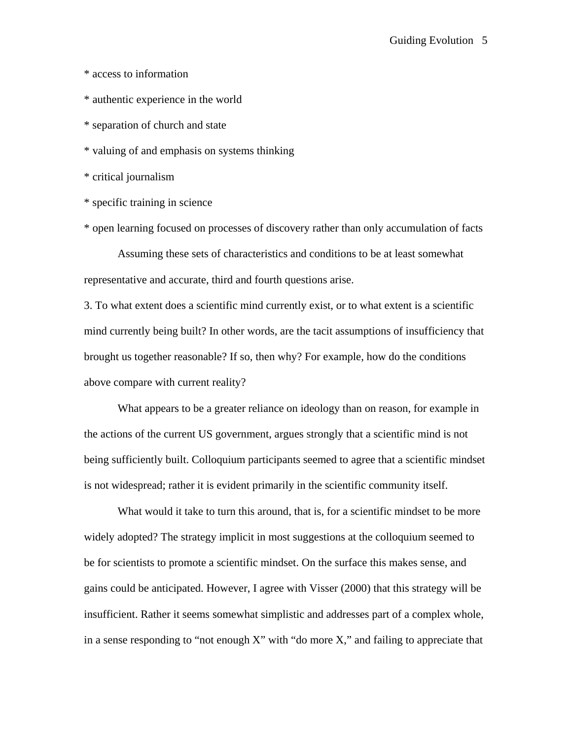\* access to information

\* authentic experience in the world

\* separation of church and state

\* valuing of and emphasis on systems thinking

\* critical journalism

\* specific training in science

\* open learning focused on processes of discovery rather than only accumulation of facts

 Assuming these sets of characteristics and conditions to be at least somewhat representative and accurate, third and fourth questions arise.

3. To what extent does a scientific mind currently exist, or to what extent is a scientific mind currently being built? In other words, are the tacit assumptions of insufficiency that brought us together reasonable? If so, then why? For example, how do the conditions above compare with current reality?

 What appears to be a greater reliance on ideology than on reason, for example in the actions of the current US government, argues strongly that a scientific mind is not being sufficiently built. Colloquium participants seemed to agree that a scientific mindset is not widespread; rather it is evident primarily in the scientific community itself.

 What would it take to turn this around, that is, for a scientific mindset to be more widely adopted? The strategy implicit in most suggestions at the colloquium seemed to be for scientists to promote a scientific mindset. On the surface this makes sense, and gains could be anticipated. However, I agree with Visser (2000) that this strategy will be insufficient. Rather it seems somewhat simplistic and addresses part of a complex whole, in a sense responding to "not enough X" with "do more X," and failing to appreciate that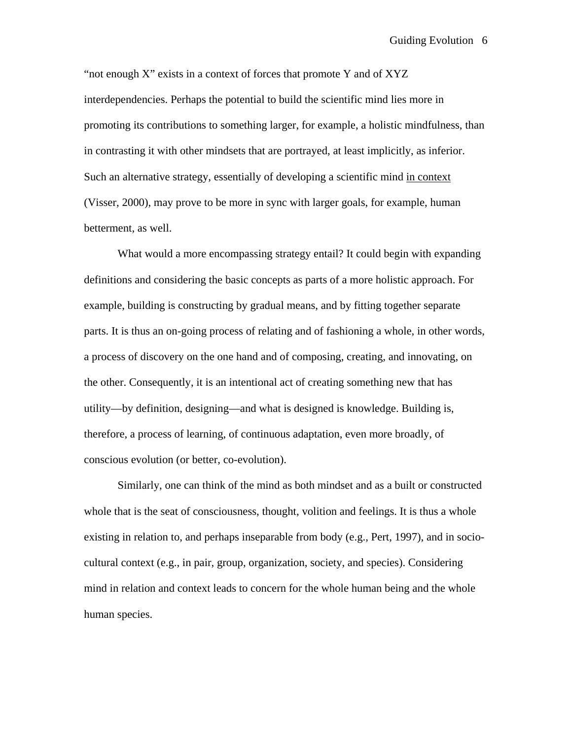"not enough X" exists in a context of forces that promote Y and of XYZ interdependencies. Perhaps the potential to build the scientific mind lies more in promoting its contributions to something larger, for example, a holistic mindfulness, than in contrasting it with other mindsets that are portrayed, at least implicitly, as inferior. Such an alternative strategy, essentially of developing a scientific mind in context (Visser, 2000), may prove to be more in sync with larger goals, for example, human betterment, as well.

What would a more encompassing strategy entail? It could begin with expanding definitions and considering the basic concepts as parts of a more holistic approach. For example, building is constructing by gradual means, and by fitting together separate parts. It is thus an on-going process of relating and of fashioning a whole, in other words, a process of discovery on the one hand and of composing, creating, and innovating, on the other. Consequently, it is an intentional act of creating something new that has utility—by definition, designing—and what is designed is knowledge. Building is, therefore, a process of learning, of continuous adaptation, even more broadly, of conscious evolution (or better, co-evolution).

 Similarly, one can think of the mind as both mindset and as a built or constructed whole that is the seat of consciousness, thought, volition and feelings. It is thus a whole existing in relation to, and perhaps inseparable from body (e.g., Pert, 1997), and in sociocultural context (e.g., in pair, group, organization, society, and species). Considering mind in relation and context leads to concern for the whole human being and the whole human species.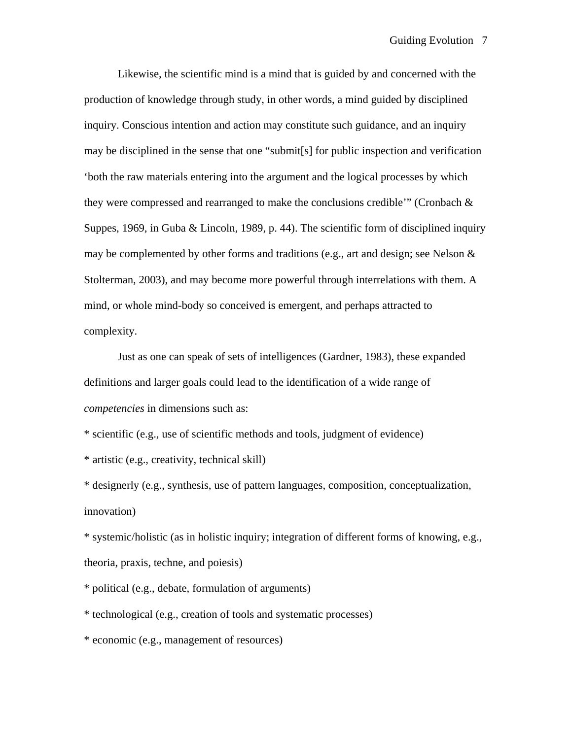Likewise, the scientific mind is a mind that is guided by and concerned with the production of knowledge through study, in other words, a mind guided by disciplined inquiry. Conscious intention and action may constitute such guidance, and an inquiry may be disciplined in the sense that one "submit[s] for public inspection and verification 'both the raw materials entering into the argument and the logical processes by which they were compressed and rearranged to make the conclusions credible'" (Cronbach  $\&$ Suppes, 1969, in Guba & Lincoln, 1989, p. 44). The scientific form of disciplined inquiry may be complemented by other forms and traditions (e.g., art and design; see Nelson & Stolterman, 2003), and may become more powerful through interrelations with them. A mind, or whole mind-body so conceived is emergent, and perhaps attracted to complexity.

 Just as one can speak of sets of intelligences (Gardner, 1983), these expanded definitions and larger goals could lead to the identification of a wide range of *competencies* in dimensions such as:

\* scientific (e.g., use of scientific methods and tools, judgment of evidence)

\* artistic (e.g., creativity, technical skill)

\* designerly (e.g., synthesis, use of pattern languages, composition, conceptualization, innovation)

\* systemic/holistic (as in holistic inquiry; integration of different forms of knowing, e.g., theoria, praxis, techne, and poiesis)

\* political (e.g., debate, formulation of arguments)

\* technological (e.g., creation of tools and systematic processes)

\* economic (e.g., management of resources)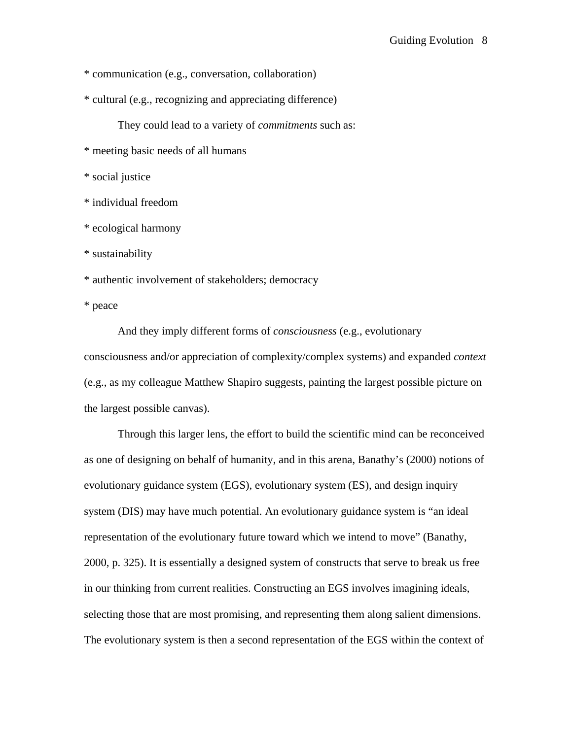\* communication (e.g., conversation, collaboration)

\* cultural (e.g., recognizing and appreciating difference)

They could lead to a variety of *commitments* such as:

\* meeting basic needs of all humans

\* social justice

\* individual freedom

\* ecological harmony

\* sustainability

\* authentic involvement of stakeholders; democracy

\* peace

 And they imply different forms of *consciousness* (e.g., evolutionary consciousness and/or appreciation of complexity/complex systems) and expanded *context*  (e.g., as my colleague Matthew Shapiro suggests, painting the largest possible picture on the largest possible canvas).

 Through this larger lens, the effort to build the scientific mind can be reconceived as one of designing on behalf of humanity, and in this arena, Banathy's (2000) notions of evolutionary guidance system (EGS), evolutionary system (ES), and design inquiry system (DIS) may have much potential. An evolutionary guidance system is "an ideal representation of the evolutionary future toward which we intend to move" (Banathy, 2000, p. 325). It is essentially a designed system of constructs that serve to break us free in our thinking from current realities. Constructing an EGS involves imagining ideals, selecting those that are most promising, and representing them along salient dimensions. The evolutionary system is then a second representation of the EGS within the context of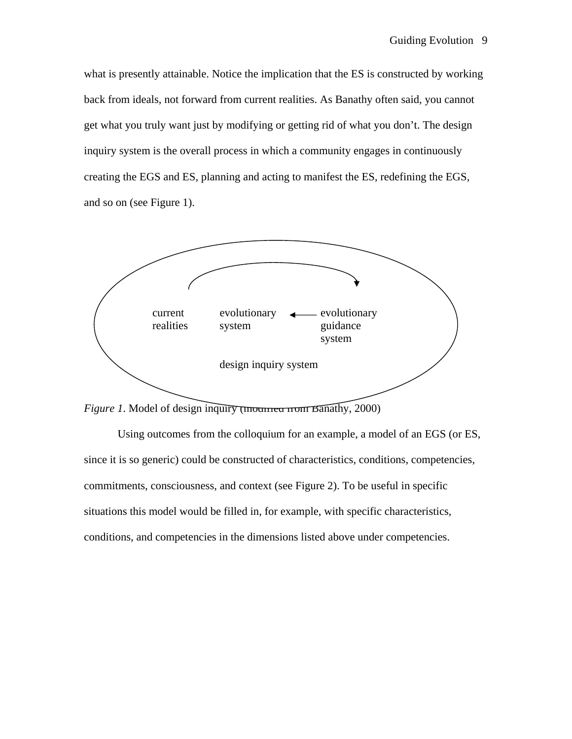what is presently attainable. Notice the implication that the ES is constructed by working back from ideals, not forward from current realities. As Banathy often said, you cannot get what you truly want just by modifying or getting rid of what you don't. The design inquiry system is the overall process in which a community engages in continuously creating the EGS and ES, planning and acting to manifest the ES, redefining the EGS, and so on (see Figure 1).



*Figure 1*. Model of design inquiry (modified from Banathy, 2000)

Using outcomes from the colloquium for an example, a model of an EGS (or ES, since it is so generic) could be constructed of characteristics, conditions, competencies, commitments, consciousness, and context (see Figure 2). To be useful in specific situations this model would be filled in, for example, with specific characteristics, conditions, and competencies in the dimensions listed above under competencies.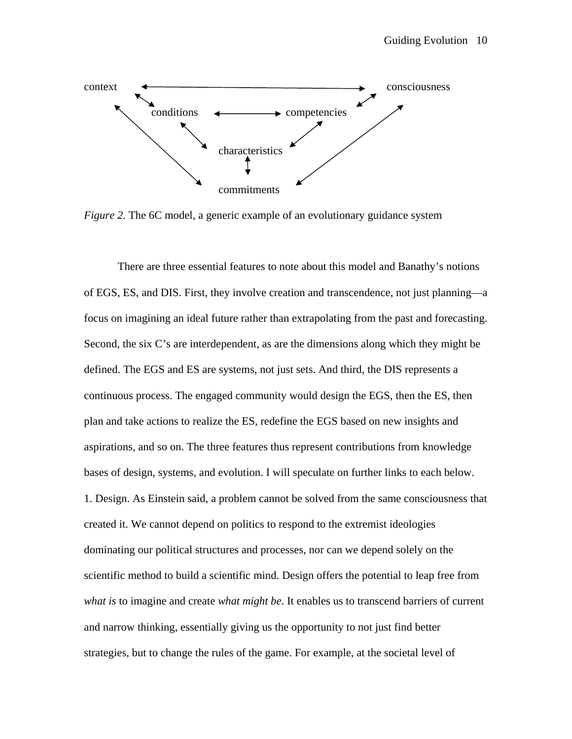

*Figure 2*. The 6C model, a generic example of an evolutionary guidance system

There are three essential features to note about this model and Banathy's notions of EGS, ES, and DIS. First, they involve creation and transcendence, not just planning—a focus on imagining an ideal future rather than extrapolating from the past and forecasting. Second, the six C's are interdependent, as are the dimensions along which they might be defined. The EGS and ES are systems, not just sets. And third, the DIS represents a continuous process. The engaged community would design the EGS, then the ES, then plan and take actions to realize the ES, redefine the EGS based on new insights and aspirations, and so on. The three features thus represent contributions from knowledge bases of design, systems, and evolution. I will speculate on further links to each below. 1. Design. As Einstein said, a problem cannot be solved from the same consciousness that created it. We cannot depend on politics to respond to the extremist ideologies dominating our political structures and processes, nor can we depend solely on the scientific method to build a scientific mind. Design offers the potential to leap free from *what is* to imagine and create *what might be*. It enables us to transcend barriers of current and narrow thinking, essentially giving us the opportunity to not just find better strategies, but to change the rules of the game. For example, at the societal level of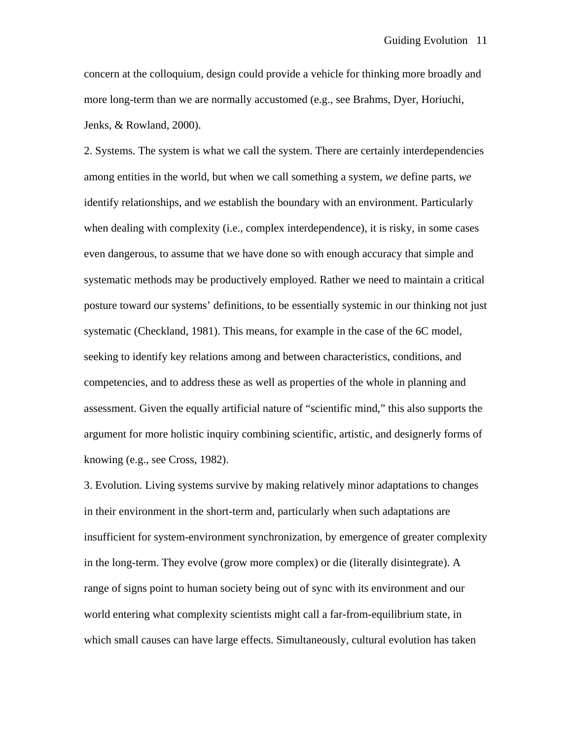concern at the colloquium, design could provide a vehicle for thinking more broadly and more long-term than we are normally accustomed (e.g., see Brahms, Dyer, Horiuchi, Jenks, & Rowland, 2000).

2. Systems. The system is what we call the system. There are certainly interdependencies among entities in the world, but when we call something a system, *we* define parts, *we* identify relationships, and *we* establish the boundary with an environment. Particularly when dealing with complexity (i.e., complex interdependence), it is risky, in some cases even dangerous, to assume that we have done so with enough accuracy that simple and systematic methods may be productively employed. Rather we need to maintain a critical posture toward our systems' definitions, to be essentially systemic in our thinking not just systematic (Checkland, 1981). This means, for example in the case of the 6C model, seeking to identify key relations among and between characteristics, conditions, and competencies, and to address these as well as properties of the whole in planning and assessment. Given the equally artificial nature of "scientific mind," this also supports the argument for more holistic inquiry combining scientific, artistic, and designerly forms of knowing (e.g., see Cross, 1982).

3. Evolution. Living systems survive by making relatively minor adaptations to changes in their environment in the short-term and, particularly when such adaptations are insufficient for system-environment synchronization, by emergence of greater complexity in the long-term. They evolve (grow more complex) or die (literally disintegrate). A range of signs point to human society being out of sync with its environment and our world entering what complexity scientists might call a far-from-equilibrium state, in which small causes can have large effects. Simultaneously, cultural evolution has taken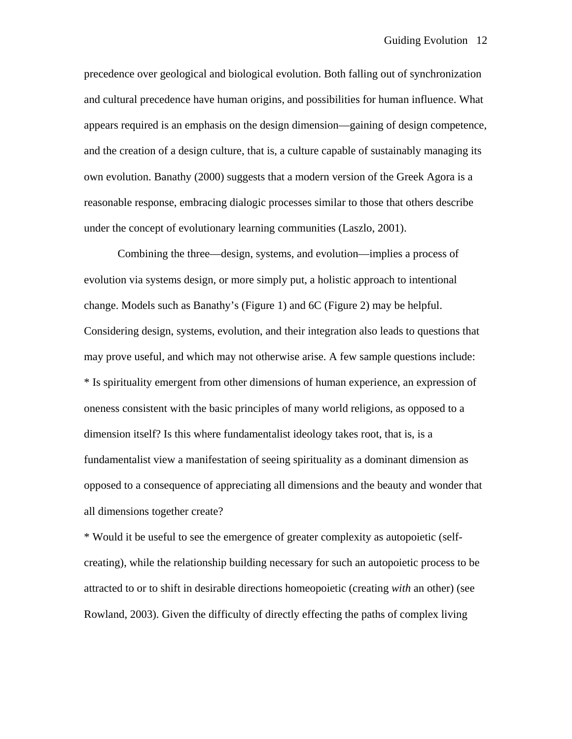precedence over geological and biological evolution. Both falling out of synchronization and cultural precedence have human origins, and possibilities for human influence. What appears required is an emphasis on the design dimension—gaining of design competence, and the creation of a design culture, that is, a culture capable of sustainably managing its own evolution. Banathy (2000) suggests that a modern version of the Greek Agora is a reasonable response, embracing dialogic processes similar to those that others describe under the concept of evolutionary learning communities (Laszlo, 2001).

 Combining the three—design, systems, and evolution—implies a process of evolution via systems design, or more simply put, a holistic approach to intentional change. Models such as Banathy's (Figure 1) and 6C (Figure 2) may be helpful. Considering design, systems, evolution, and their integration also leads to questions that may prove useful, and which may not otherwise arise. A few sample questions include: \* Is spirituality emergent from other dimensions of human experience, an expression of oneness consistent with the basic principles of many world religions, as opposed to a dimension itself? Is this where fundamentalist ideology takes root, that is, is a fundamentalist view a manifestation of seeing spirituality as a dominant dimension as opposed to a consequence of appreciating all dimensions and the beauty and wonder that all dimensions together create?

\* Would it be useful to see the emergence of greater complexity as autopoietic (selfcreating), while the relationship building necessary for such an autopoietic process to be attracted to or to shift in desirable directions homeopoietic (creating *with* an other) (see Rowland, 2003). Given the difficulty of directly effecting the paths of complex living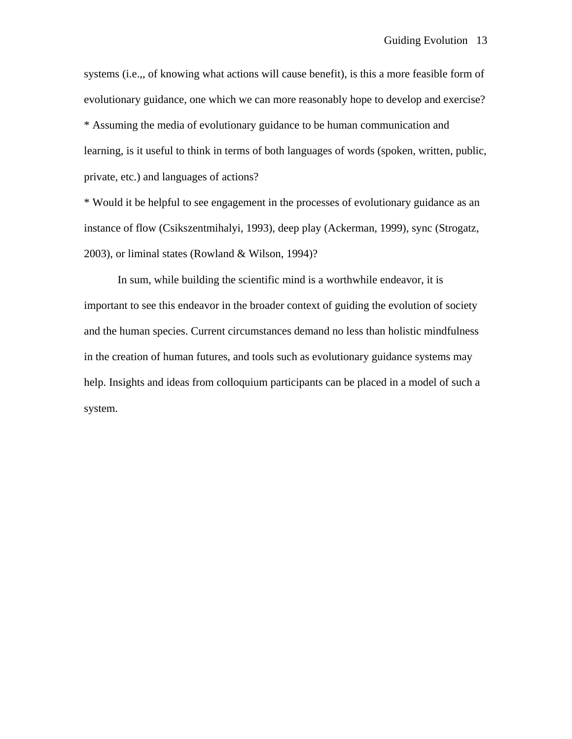systems (i.e.,, of knowing what actions will cause benefit), is this a more feasible form of evolutionary guidance, one which we can more reasonably hope to develop and exercise? \* Assuming the media of evolutionary guidance to be human communication and learning, is it useful to think in terms of both languages of words (spoken, written, public, private, etc.) and languages of actions?

\* Would it be helpful to see engagement in the processes of evolutionary guidance as an instance of flow (Csikszentmihalyi, 1993), deep play (Ackerman, 1999), sync (Strogatz, 2003), or liminal states (Rowland & Wilson, 1994)?

 In sum, while building the scientific mind is a worthwhile endeavor, it is important to see this endeavor in the broader context of guiding the evolution of society and the human species. Current circumstances demand no less than holistic mindfulness in the creation of human futures, and tools such as evolutionary guidance systems may help. Insights and ideas from colloquium participants can be placed in a model of such a system.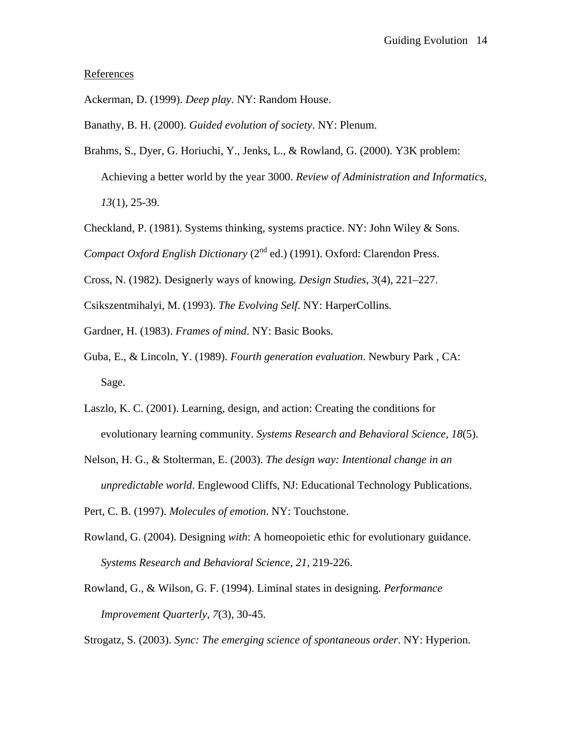## References

Ackerman, D. (1999). *Deep play*. NY: Random House.

Banathy, B. H. (2000). *Guided evolution of society*. NY: Plenum.

- Brahms, S., Dyer, G. Horiuchi, Y., Jenks, L., & Rowland, G. (2000). Y3K problem: Achieving a better world by the year 3000. *Review of Administration and Informatics, 13*(1), 25-39.
- Checkland, P. (1981). Systems thinking, systems practice. NY: John Wiley & Sons.

*Compact Oxford English Dictionary* (2<sup>nd</sup> ed.) (1991). Oxford: Clarendon Press.

Cross, N. (1982). Designerly ways of knowing. *Design Studies*, *3*(4), 221–227.

Csikszentmihalyi, M. (1993). *The Evolving Self*. NY: HarperCollins.

Gardner, H. (1983). *Frames of mind*. NY: Basic Books.

- Guba, E., & Lincoln, Y. (1989). *Fourth generation evaluation*. Newbury Park , CA: Sage.
- Laszlo, K. C. (2001). Learning, design, and action: Creating the conditions for evolutionary learning community. *Systems Research and Behavioral Science, 18*(5).
- Nelson, H. G., & Stolterman, E. (2003). *The design way: Intentional change in an unpredictable world*. Englewood Cliffs, NJ: Educational Technology Publications.

Pert, C. B. (1997). *Molecules of emotion*. NY: Touchstone.

- Rowland, G. (2004). Designing *with*: A homeopoietic ethic for evolutionary guidance*. Systems Research and Behavioral Science, 21*, 219-226.
- Rowland, G., & Wilson, G. F. (1994). Liminal states in designing. *Performance Improvement Quarterly*, *7*(3), 30-45.

Strogatz, S. (2003). *Sync: The emerging science of spontaneous order*. NY: Hyperion.